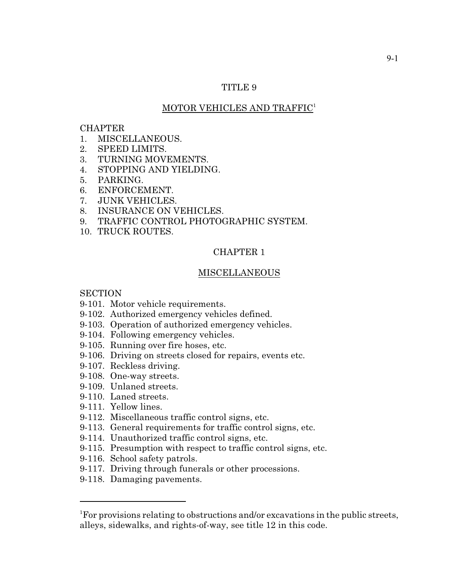# TITLE 9

# MOTOR VEHICLES AND TRAFFIC<sup>1</sup>

#### CHAPTER

- 1. MISCELLANEOUS.
- 2. SPEED LIMITS.
- 3. TURNING MOVEMENTS.
- 4. STOPPING AND YIELDING.
- 5. PARKING.
- 6. ENFORCEMENT.
- 7. JUNK VEHICLES.
- 8. INSURANCE ON VEHICLES.
- 9. TRAFFIC CONTROL PHOTOGRAPHIC SYSTEM.
- 10. TRUCK ROUTES.

## CHAPTER 1

## MISCELLANEOUS

## **SECTION**

- 9-101. Motor vehicle requirements.
- 9-102. Authorized emergency vehicles defined.
- 9-103. Operation of authorized emergency vehicles.
- 9-104. Following emergency vehicles.
- 9-105. Running over fire hoses, etc.
- 9-106. Driving on streets closed for repairs, events etc.
- 9-107. Reckless driving.
- 9-108. One-way streets.
- 9-109. Unlaned streets.
- 9-110. Laned streets.
- 9-111. Yellow lines.
- 9-112. Miscellaneous traffic control signs, etc.
- 9-113. General requirements for traffic control signs, etc.
- 9-114. Unauthorized traffic control signs, etc.
- 9-115. Presumption with respect to traffic control signs, etc.
- 9-116. School safety patrols.
- 9-117. Driving through funerals or other processions.
- 9-118. Damaging pavements.

<sup>&</sup>lt;sup>1</sup>For provisions relating to obstructions and/or excavations in the public streets, alleys, sidewalks, and rights-of-way, see title 12 in this code.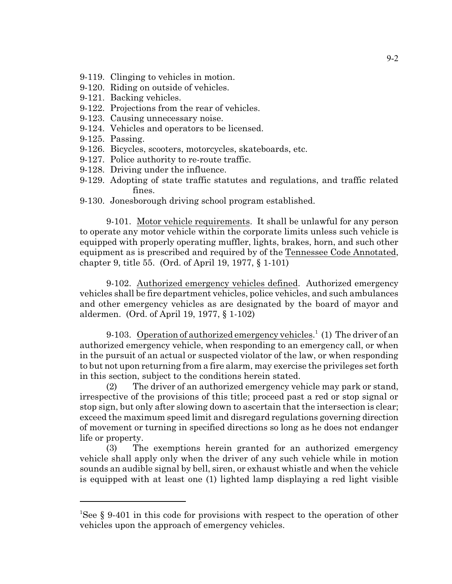- 9-119. Clinging to vehicles in motion.
- 9-120. Riding on outside of vehicles.
- 9-121. Backing vehicles.
- 9-122. Projections from the rear of vehicles.
- 9-123. Causing unnecessary noise.
- 9-124. Vehicles and operators to be licensed.
- 9-125. Passing.
- 9-126. Bicycles, scooters, motorcycles, skateboards, etc.
- 9-127. Police authority to re-route traffic.
- 9-128. Driving under the influence.
- 9-129. Adopting of state traffic statutes and regulations, and traffic related fines.
- 9-130. Jonesborough driving school program established.

9-101. Motor vehicle requirements. It shall be unlawful for any person to operate any motor vehicle within the corporate limits unless such vehicle is equipped with properly operating muffler, lights, brakes, horn, and such other equipment as is prescribed and required by of the Tennessee Code Annotated, chapter 9, title 55. (Ord. of April 19, 1977, § 1-101)

9-102. Authorized emergency vehicles defined. Authorized emergency vehicles shall be fire department vehicles, police vehicles, and such ambulances and other emergency vehicles as are designated by the board of mayor and aldermen. (Ord. of April 19, 1977, § 1-102)

9-103. Operation of authorized emergency vehicles.<sup>1</sup> (1) The driver of an authorized emergency vehicle, when responding to an emergency call, or when in the pursuit of an actual or suspected violator of the law, or when responding to but not upon returning from a fire alarm, may exercise the privileges set forth in this section, subject to the conditions herein stated.

(2) The driver of an authorized emergency vehicle may park or stand, irrespective of the provisions of this title; proceed past a red or stop signal or stop sign, but only after slowing down to ascertain that the intersection is clear; exceed the maximum speed limit and disregard regulations governing direction of movement or turning in specified directions so long as he does not endanger life or property.

(3) The exemptions herein granted for an authorized emergency vehicle shall apply only when the driver of any such vehicle while in motion sounds an audible signal by bell, siren, or exhaust whistle and when the vehicle is equipped with at least one (1) lighted lamp displaying a red light visible

<sup>1</sup>See § 9-401 in this code for provisions with respect to the operation of other vehicles upon the approach of emergency vehicles.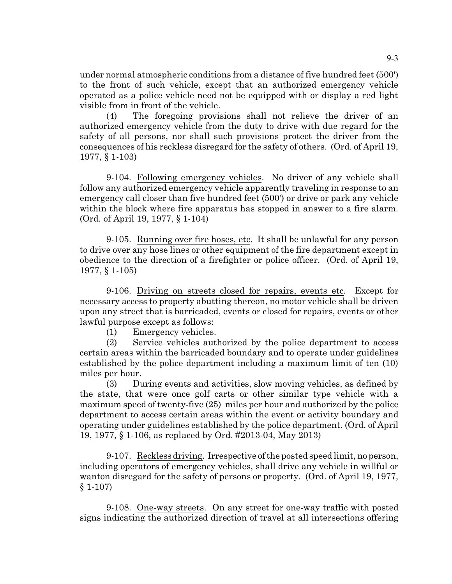under normal atmospheric conditions from a distance of five hundred feet (500') to the front of such vehicle, except that an authorized emergency vehicle operated as a police vehicle need not be equipped with or display a red light visible from in front of the vehicle.

(4) The foregoing provisions shall not relieve the driver of an authorized emergency vehicle from the duty to drive with due regard for the safety of all persons, nor shall such provisions protect the driver from the consequences of his reckless disregard for the safety of others. (Ord. of April 19, 1977, § 1-103)

9-104. Following emergency vehicles. No driver of any vehicle shall follow any authorized emergency vehicle apparently traveling in response to an emergency call closer than five hundred feet (500') or drive or park any vehicle within the block where fire apparatus has stopped in answer to a fire alarm. (Ord. of April 19, 1977, § 1-104)

9-105. Running over fire hoses, etc. It shall be unlawful for any person to drive over any hose lines or other equipment of the fire department except in obedience to the direction of a firefighter or police officer. (Ord. of April 19, 1977, § 1-105)

9-106. Driving on streets closed for repairs, events etc. Except for necessary access to property abutting thereon, no motor vehicle shall be driven upon any street that is barricaded, events or closed for repairs, events or other lawful purpose except as follows:

(1) Emergency vehicles.

(2) Service vehicles authorized by the police department to access certain areas within the barricaded boundary and to operate under guidelines established by the police department including a maximum limit of ten (10) miles per hour.

(3) During events and activities, slow moving vehicles, as defined by the state, that were once golf carts or other similar type vehicle with a maximum speed of twenty-five (25) miles per hour and authorized by the police department to access certain areas within the event or activity boundary and operating under guidelines established by the police department. (Ord. of April 19, 1977, § 1-106, as replaced by Ord. #2013-04, May 2013)

9-107. Reckless driving. Irrespective of the posted speed limit, no person, including operators of emergency vehicles, shall drive any vehicle in willful or wanton disregard for the safety of persons or property. (Ord. of April 19, 1977, § 1-107)

9-108. One-way streets. On any street for one-way traffic with posted signs indicating the authorized direction of travel at all intersections offering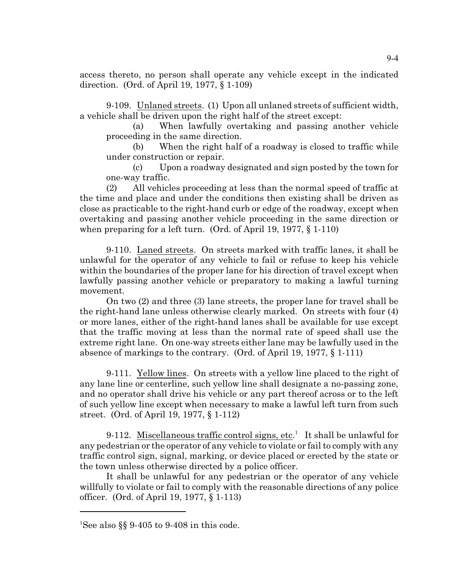access thereto, no person shall operate any vehicle except in the indicated direction. (Ord. of April 19, 1977, § 1-109)

9-109. Unlaned streets. (1) Upon all unlaned streets of sufficient width, a vehicle shall be driven upon the right half of the street except:

(a) When lawfully overtaking and passing another vehicle proceeding in the same direction.

(b) When the right half of a roadway is closed to traffic while under construction or repair.

(c) Upon a roadway designated and sign posted by the town for one-way traffic.

(2) All vehicles proceeding at less than the normal speed of traffic at the time and place and under the conditions then existing shall be driven as close as practicable to the right-hand curb or edge of the roadway, except when overtaking and passing another vehicle proceeding in the same direction or when preparing for a left turn. (Ord. of April 19, 1977, § 1-110)

9-110. Laned streets. On streets marked with traffic lanes, it shall be unlawful for the operator of any vehicle to fail or refuse to keep his vehicle within the boundaries of the proper lane for his direction of travel except when lawfully passing another vehicle or preparatory to making a lawful turning movement.

On two (2) and three (3) lane streets, the proper lane for travel shall be the right-hand lane unless otherwise clearly marked. On streets with four (4) or more lanes, either of the right-hand lanes shall be available for use except that the traffic moving at less than the normal rate of speed shall use the extreme right lane. On one-way streets either lane may be lawfully used in the absence of markings to the contrary. (Ord. of April 19, 1977, § 1-111)

9-111. Yellow lines. On streets with a yellow line placed to the right of any lane line or centerline, such yellow line shall designate a no-passing zone, and no operator shall drive his vehicle or any part thereof across or to the left of such yellow line except when necessary to make a lawful left turn from such street. (Ord. of April 19, 1977, § 1-112)

9-112. Miscellaneous traffic control signs, etc.<sup>1</sup> It shall be unlawful for any pedestrian or the operator of any vehicle to violate or fail to comply with any traffic control sign, signal, marking, or device placed or erected by the state or the town unless otherwise directed by a police officer.

It shall be unlawful for any pedestrian or the operator of any vehicle willfully to violate or fail to comply with the reasonable directions of any police officer. (Ord. of April 19, 1977, § 1-113)

<sup>&</sup>lt;sup>1</sup>See also §§ 9-405 to 9-408 in this code.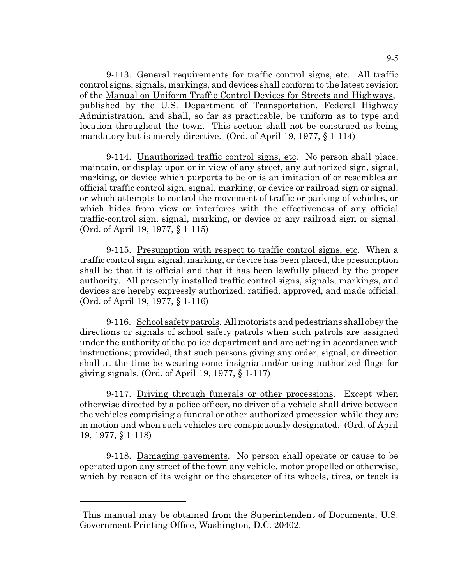9-113. General requirements for traffic control signs, etc. All traffic control signs, signals, markings, and devices shall conform to the latest revision of the Manual on Uniform Traffic Control Devices for Streets and Highways,<sup>1</sup> published by the U.S. Department of Transportation, Federal Highway Administration, and shall, so far as practicable, be uniform as to type and location throughout the town. This section shall not be construed as being mandatory but is merely directive. (Ord. of April 19, 1977, § 1-114)

9-114. Unauthorized traffic control signs, etc. No person shall place, maintain, or display upon or in view of any street, any authorized sign, signal, marking, or device which purports to be or is an imitation of or resembles an official traffic control sign, signal, marking, or device or railroad sign or signal, or which attempts to control the movement of traffic or parking of vehicles, or which hides from view or interferes with the effectiveness of any official traffic-control sign, signal, marking, or device or any railroad sign or signal. (Ord. of April 19, 1977, § 1-115)

9-115. Presumption with respect to traffic control signs, etc. When a traffic control sign, signal, marking, or device has been placed, the presumption shall be that it is official and that it has been lawfully placed by the proper authority. All presently installed traffic control signs, signals, markings, and devices are hereby expressly authorized, ratified, approved, and made official. (Ord. of April 19, 1977, § 1-116)

9-116. School safety patrols. All motorists and pedestrians shall obey the directions or signals of school safety patrols when such patrols are assigned under the authority of the police department and are acting in accordance with instructions; provided, that such persons giving any order, signal, or direction shall at the time be wearing some insignia and/or using authorized flags for giving signals. (Ord. of April 19, 1977, § 1-117)

9-117. Driving through funerals or other processions. Except when otherwise directed by a police officer, no driver of a vehicle shall drive between the vehicles comprising a funeral or other authorized procession while they are in motion and when such vehicles are conspicuously designated. (Ord. of April 19, 1977, § 1-118)

9-118. Damaging pavements. No person shall operate or cause to be operated upon any street of the town any vehicle, motor propelled or otherwise, which by reason of its weight or the character of its wheels, tires, or track is

<sup>1</sup>This manual may be obtained from the Superintendent of Documents, U.S. Government Printing Office, Washington, D.C. 20402.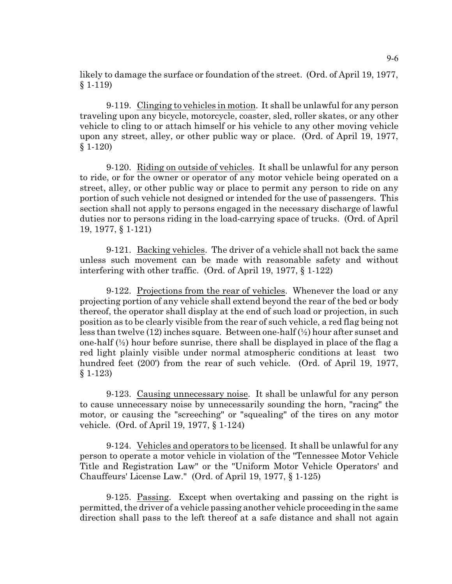likely to damage the surface or foundation of the street. (Ord. of April 19, 1977, § 1-119)

9-119. Clinging to vehicles in motion. It shall be unlawful for any person traveling upon any bicycle, motorcycle, coaster, sled, roller skates, or any other vehicle to cling to or attach himself or his vehicle to any other moving vehicle upon any street, alley, or other public way or place. (Ord. of April 19, 1977, § 1-120)

9-120. Riding on outside of vehicles. It shall be unlawful for any person to ride, or for the owner or operator of any motor vehicle being operated on a street, alley, or other public way or place to permit any person to ride on any portion of such vehicle not designed or intended for the use of passengers. This section shall not apply to persons engaged in the necessary discharge of lawful duties nor to persons riding in the load-carrying space of trucks. (Ord. of April 19, 1977, § 1-121)

9-121. Backing vehicles. The driver of a vehicle shall not back the same unless such movement can be made with reasonable safety and without interfering with other traffic. (Ord. of April 19, 1977, § 1-122)

9-122. Projections from the rear of vehicles. Whenever the load or any projecting portion of any vehicle shall extend beyond the rear of the bed or body thereof, the operator shall display at the end of such load or projection, in such position as to be clearly visible from the rear of such vehicle, a red flag being not less than twelve (12) inches square. Between one-half (½) hour after sunset and one-half  $\left(\frac{1}{2}\right)$  hour before sunrise, there shall be displayed in place of the flag a red light plainly visible under normal atmospheric conditions at least two hundred feet (200') from the rear of such vehicle. (Ord. of April 19, 1977, § 1-123)

9-123. Causing unnecessary noise. It shall be unlawful for any person to cause unnecessary noise by unnecessarily sounding the horn, "racing" the motor, or causing the "screeching" or "squealing" of the tires on any motor vehicle. (Ord. of April 19, 1977, § 1-124)

9-124. Vehicles and operators to be licensed. It shall be unlawful for any person to operate a motor vehicle in violation of the "Tennessee Motor Vehicle Title and Registration Law" or the "Uniform Motor Vehicle Operators' and Chauffeurs' License Law." (Ord. of April 19, 1977, § 1-125)

9-125. Passing. Except when overtaking and passing on the right is permitted, the driver of a vehicle passing another vehicle proceeding in the same direction shall pass to the left thereof at a safe distance and shall not again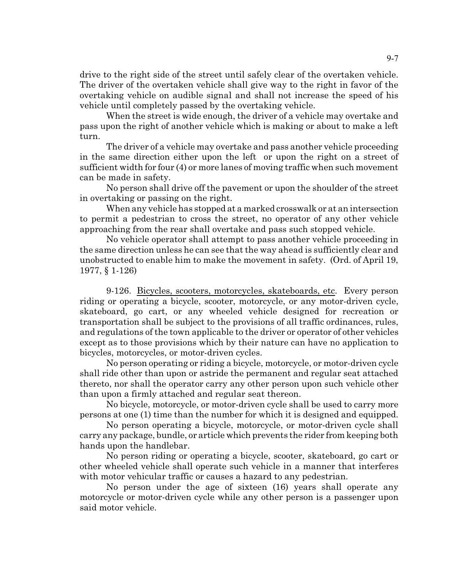drive to the right side of the street until safely clear of the overtaken vehicle. The driver of the overtaken vehicle shall give way to the right in favor of the overtaking vehicle on audible signal and shall not increase the speed of his vehicle until completely passed by the overtaking vehicle.

When the street is wide enough, the driver of a vehicle may overtake and pass upon the right of another vehicle which is making or about to make a left turn.

The driver of a vehicle may overtake and pass another vehicle proceeding in the same direction either upon the left or upon the right on a street of sufficient width for four (4) or more lanes of moving traffic when such movement can be made in safety.

No person shall drive off the pavement or upon the shoulder of the street in overtaking or passing on the right.

When any vehicle has stopped at a marked crosswalk or at an intersection to permit a pedestrian to cross the street, no operator of any other vehicle approaching from the rear shall overtake and pass such stopped vehicle.

No vehicle operator shall attempt to pass another vehicle proceeding in the same direction unless he can see that the way ahead is sufficiently clear and unobstructed to enable him to make the movement in safety. (Ord. of April 19, 1977, § 1-126)

9-126. Bicycles, scooters, motorcycles, skateboards, etc. Every person riding or operating a bicycle, scooter, motorcycle, or any motor-driven cycle, skateboard, go cart, or any wheeled vehicle designed for recreation or transportation shall be subject to the provisions of all traffic ordinances, rules, and regulations of the town applicable to the driver or operator of other vehicles except as to those provisions which by their nature can have no application to bicycles, motorcycles, or motor-driven cycles.

No person operating or riding a bicycle, motorcycle, or motor-driven cycle shall ride other than upon or astride the permanent and regular seat attached thereto, nor shall the operator carry any other person upon such vehicle other than upon a firmly attached and regular seat thereon.

No bicycle, motorcycle, or motor-driven cycle shall be used to carry more persons at one (1) time than the number for which it is designed and equipped.

No person operating a bicycle, motorcycle, or motor-driven cycle shall carry any package, bundle, or article which prevents the rider from keeping both hands upon the handlebar.

No person riding or operating a bicycle, scooter, skateboard, go cart or other wheeled vehicle shall operate such vehicle in a manner that interferes with motor vehicular traffic or causes a hazard to any pedestrian.

No person under the age of sixteen (16) years shall operate any motorcycle or motor-driven cycle while any other person is a passenger upon said motor vehicle.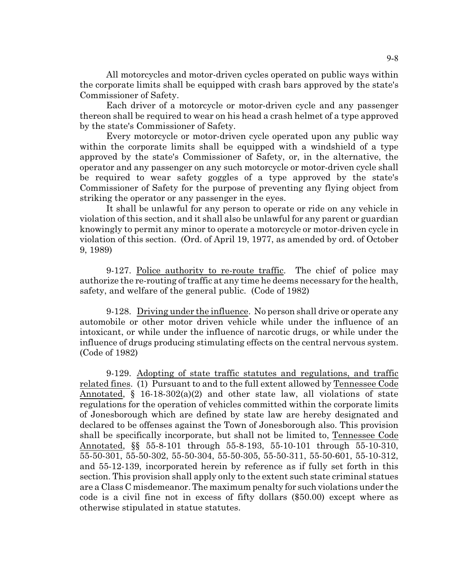All motorcycles and motor-driven cycles operated on public ways within the corporate limits shall be equipped with crash bars approved by the state's Commissioner of Safety.

Each driver of a motorcycle or motor-driven cycle and any passenger thereon shall be required to wear on his head a crash helmet of a type approved by the state's Commissioner of Safety.

Every motorcycle or motor-driven cycle operated upon any public way within the corporate limits shall be equipped with a windshield of a type approved by the state's Commissioner of Safety, or, in the alternative, the operator and any passenger on any such motorcycle or motor-driven cycle shall be required to wear safety goggles of a type approved by the state's Commissioner of Safety for the purpose of preventing any flying object from striking the operator or any passenger in the eyes.

It shall be unlawful for any person to operate or ride on any vehicle in violation of this section, and it shall also be unlawful for any parent or guardian knowingly to permit any minor to operate a motorcycle or motor-driven cycle in violation of this section. (Ord. of April 19, 1977, as amended by ord. of October 9, 1989)

9-127. Police authority to re-route traffic. The chief of police may authorize the re-routing of traffic at any time he deems necessary for the health, safety, and welfare of the general public. (Code of 1982)

9-128. Driving under the influence. No person shall drive or operate any automobile or other motor driven vehicle while under the influence of an intoxicant, or while under the influence of narcotic drugs, or while under the influence of drugs producing stimulating effects on the central nervous system. (Code of 1982)

9-129. Adopting of state traffic statutes and regulations, and traffic related fines. (1) Pursuant to and to the full extent allowed by Tennessee Code Annotated,  $\S$  16-18-302(a)(2) and other state law, all violations of state regulations for the operation of vehicles committed within the corporate limits of Jonesborough which are defined by state law are hereby designated and declared to be offenses against the Town of Jonesborough also. This provision shall be specifically incorporate, but shall not be limited to, Tennessee Code Annotated, §§ 55-8-101 through 55-8-193, 55-10-101 through 55-10-310, 55-50-301, 55-50-302, 55-50-304, 55-50-305, 55-50-311, 55-50-601, 55-10-312, and 55-12-139, incorporated herein by reference as if fully set forth in this section. This provision shall apply only to the extent such state criminal statues are a Class C misdemeanor. The maximum penalty for such violations under the code is a civil fine not in excess of fifty dollars (\$50.00) except where as otherwise stipulated in statue statutes.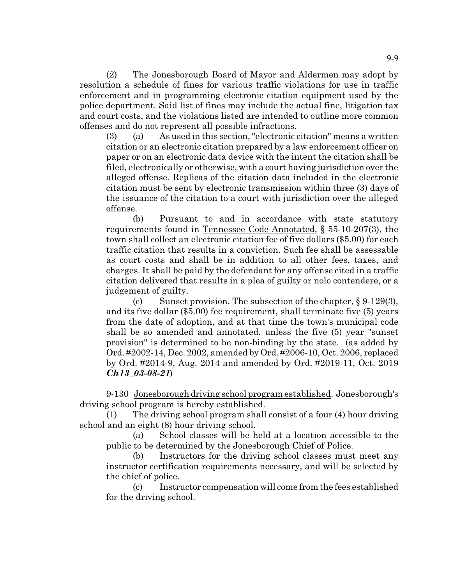(2) The Jonesborough Board of Mayor and Aldermen may adopt by resolution a schedule of fines for various traffic violations for use in traffic enforcement and in programming electronic citation equipment used by the police department. Said list of fines may include the actual fine, litigation tax and court costs, and the violations listed are intended to outline more common offenses and do not represent all possible infractions.

(3) (a) As used in this section, "electronic citation" means a written citation or an electronic citation prepared by a law enforcement officer on paper or on an electronic data device with the intent the citation shall be filed, electronically or otherwise, with a court having jurisdiction over the alleged offense. Replicas of the citation data included in the electronic citation must be sent by electronic transmission within three (3) days of the issuance of the citation to a court with jurisdiction over the alleged offense.

(b) Pursuant to and in accordance with state statutory requirements found in Tennessee Code Annotated, § 55-10-207(3), the town shall collect an electronic citation fee of five dollars (\$5.00) for each traffic citation that results in a conviction. Such fee shall be assessable as court costs and shall be in addition to all other fees, taxes, and charges. It shall be paid by the defendant for any offense cited in a traffic citation delivered that results in a plea of guilty or nolo contendere, or a judgement of guilty.

(c) Sunset provision. The subsection of the chapter,  $\S 9-129(3)$ , and its five dollar (\$5.00) fee requirement, shall terminate five (5) years from the date of adoption, and at that time the town's municipal code shall be so amended and annotated, unless the five (5) year "sunset provision" is determined to be non-binding by the state. (as added by Ord. #2002-14, Dec. 2002, amended by Ord. #2006-10, Oct. 2006, replaced by Ord. #2014-9, Aug. 2014 and amended by Ord. #2019-11, Oct. 2019 *Ch13\_03-08-21*)

9-130 Jonesborough driving school program established. Jonesborough's driving school program is hereby established.

(1) The driving school program shall consist of a four (4) hour driving school and an eight (8) hour driving school.

(a) School classes will be held at a location accessible to the public to be determined by the Jonesborough Chief of Police.

(b) Instructors for the driving school classes must meet any instructor certification requirements necessary, and will be selected by the chief of police.

(c) Instructor compensation will come from the fees established for the driving school.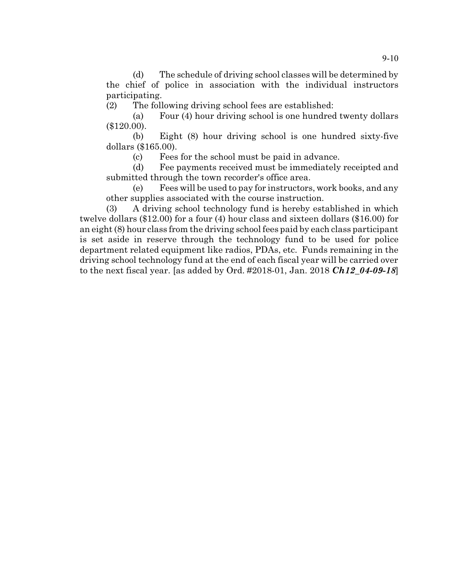(d) The schedule of driving school classes will be determined by the chief of police in association with the individual instructors participating.

(2) The following driving school fees are established:

(a) Four (4) hour driving school is one hundred twenty dollars (\$120.00).

(b) Eight (8) hour driving school is one hundred sixty-five dollars (\$165.00).

(c) Fees for the school must be paid in advance.

(d) Fee payments received must be immediately receipted and submitted through the town recorder's office area.

(e) Fees will be used to pay for instructors, work books, and any other supplies associated with the course instruction.

(3) A driving school technology fund is hereby established in which twelve dollars (\$12.00) for a four (4) hour class and sixteen dollars (\$16.00) for an eight (8) hour class from the driving school fees paid by each class participant is set aside in reserve through the technology fund to be used for police department related equipment like radios, PDAs, etc. Funds remaining in the driving school technology fund at the end of each fiscal year will be carried over to the next fiscal year. [as added by Ord. #2018-01, Jan. 2018 *Ch12\_04-09-18*]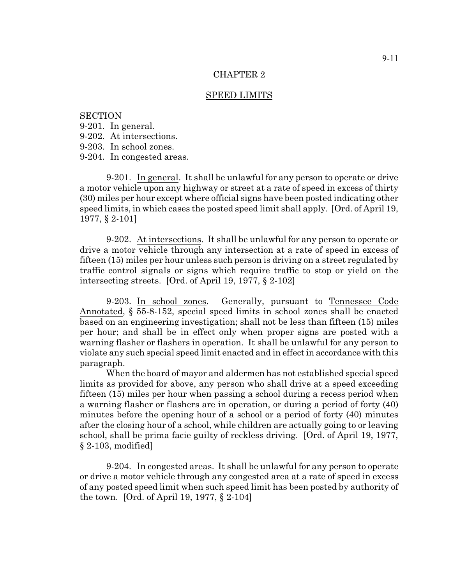#### SPEED LIMITS

### **SECTION**

- 9-201. In general.
- 9-202. At intersections.
- 9-203. In school zones.
- 9-204. In congested areas.

9-201. In general. It shall be unlawful for any person to operate or drive a motor vehicle upon any highway or street at a rate of speed in excess of thirty (30) miles per hour except where official signs have been posted indicating other speed limits, in which cases the posted speed limit shall apply. [Ord. of April 19, 1977, § 2-101]

9-202. At intersections. It shall be unlawful for any person to operate or drive a motor vehicle through any intersection at a rate of speed in excess of fifteen (15) miles per hour unless such person is driving on a street regulated by traffic control signals or signs which require traffic to stop or yield on the intersecting streets. [Ord. of April 19, 1977, § 2-102]

9-203. In school zones. Generally, pursuant to Tennessee Code Annotated, § 55-8-152, special speed limits in school zones shall be enacted based on an engineering investigation; shall not be less than fifteen (15) miles per hour; and shall be in effect only when proper signs are posted with a warning flasher or flashers in operation. It shall be unlawful for any person to violate any such special speed limit enacted and in effect in accordance with this paragraph.

When the board of mayor and aldermen has not established special speed limits as provided for above, any person who shall drive at a speed exceeding fifteen (15) miles per hour when passing a school during a recess period when a warning flasher or flashers are in operation, or during a period of forty (40) minutes before the opening hour of a school or a period of forty (40) minutes after the closing hour of a school, while children are actually going to or leaving school, shall be prima facie guilty of reckless driving. [Ord. of April 19, 1977, § 2-103, modified]

9-204. In congested areas. It shall be unlawful for any person to operate or drive a motor vehicle through any congested area at a rate of speed in excess of any posted speed limit when such speed limit has been posted by authority of the town. [Ord. of April 19, 1977, § 2-104]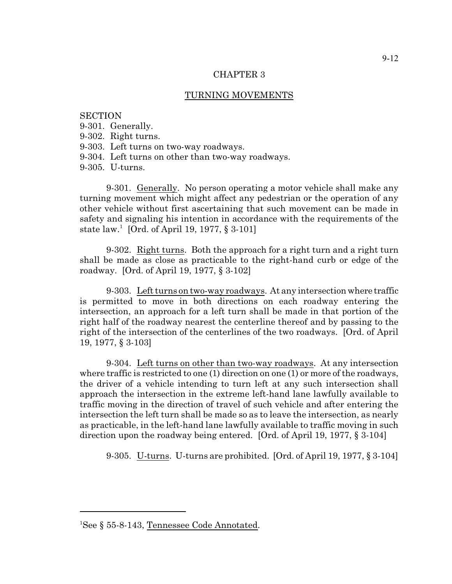# TURNING MOVEMENTS

### **SECTION**

- 9-301. Generally.
- 9-302. Right turns.
- 9-303. Left turns on two-way roadways.
- 9-304. Left turns on other than two-way roadways.
- 9-305. U-turns.

9-301. Generally. No person operating a motor vehicle shall make any turning movement which might affect any pedestrian or the operation of any other vehicle without first ascertaining that such movement can be made in safety and signaling his intention in accordance with the requirements of the state law.<sup>1</sup> [Ord. of April 19, 1977, § 3-101]

9-302. Right turns. Both the approach for a right turn and a right turn shall be made as close as practicable to the right-hand curb or edge of the roadway. [Ord. of April 19, 1977, § 3-102]

9-303. Left turns on two-way roadways. At any intersection where traffic is permitted to move in both directions on each roadway entering the intersection, an approach for a left turn shall be made in that portion of the right half of the roadway nearest the centerline thereof and by passing to the right of the intersection of the centerlines of the two roadways. [Ord. of April 19, 1977, § 3-103]

9-304. Left turns on other than two-way roadways. At any intersection where traffic is restricted to one (1) direction on one (1) or more of the roadways, the driver of a vehicle intending to turn left at any such intersection shall approach the intersection in the extreme left-hand lane lawfully available to traffic moving in the direction of travel of such vehicle and after entering the intersection the left turn shall be made so as to leave the intersection, as nearly as practicable, in the left-hand lane lawfully available to traffic moving in such direction upon the roadway being entered. [Ord. of April 19, 1977, § 3-104]

9-305. U-turns. U-turns are prohibited. [Ord. of April 19, 1977, § 3-104]

<sup>1</sup>See § 55-8-143, Tennessee Code Annotated.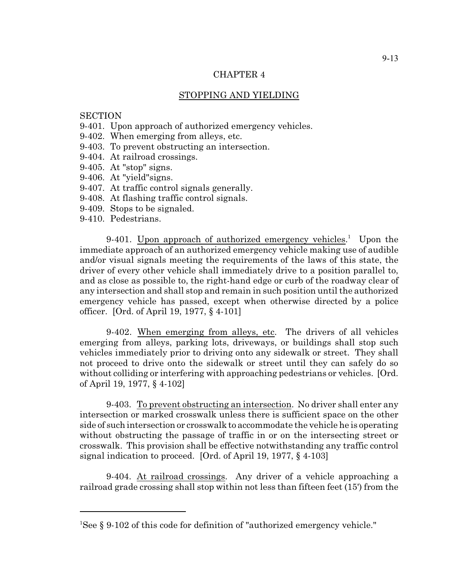# STOPPING AND YIELDING

#### **SECTION**

- 9-401. Upon approach of authorized emergency vehicles.
- 9-402. When emerging from alleys, etc.
- 9-403. To prevent obstructing an intersection.
- 9-404. At railroad crossings.
- 9-405. At "stop" signs.
- 9-406. At "yield"signs.
- 9-407. At traffic control signals generally.
- 9-408. At flashing traffic control signals.
- 9-409. Stops to be signaled.
- 9-410. Pedestrians.

9-401. Upon approach of authorized emergency vehicles.<sup>1</sup> Upon the immediate approach of an authorized emergency vehicle making use of audible and/or visual signals meeting the requirements of the laws of this state, the driver of every other vehicle shall immediately drive to a position parallel to, and as close as possible to, the right-hand edge or curb of the roadway clear of any intersection and shall stop and remain in such position until the authorized emergency vehicle has passed, except when otherwise directed by a police officer. [Ord. of April 19, 1977, § 4-101]

9-402. When emerging from alleys, etc. The drivers of all vehicles emerging from alleys, parking lots, driveways, or buildings shall stop such vehicles immediately prior to driving onto any sidewalk or street. They shall not proceed to drive onto the sidewalk or street until they can safely do so without colliding or interfering with approaching pedestrians or vehicles. [Ord. of April 19, 1977, § 4-102]

9-403. To prevent obstructing an intersection. No driver shall enter any intersection or marked crosswalk unless there is sufficient space on the other side of such intersection or crosswalk to accommodate the vehicle he is operating without obstructing the passage of traffic in or on the intersecting street or crosswalk. This provision shall be effective notwithstanding any traffic control signal indication to proceed. [Ord. of April 19, 1977, § 4-103]

9-404. At railroad crossings. Any driver of a vehicle approaching a railroad grade crossing shall stop within not less than fifteen feet (15') from the

<sup>1</sup>See § 9-102 of this code for definition of "authorized emergency vehicle."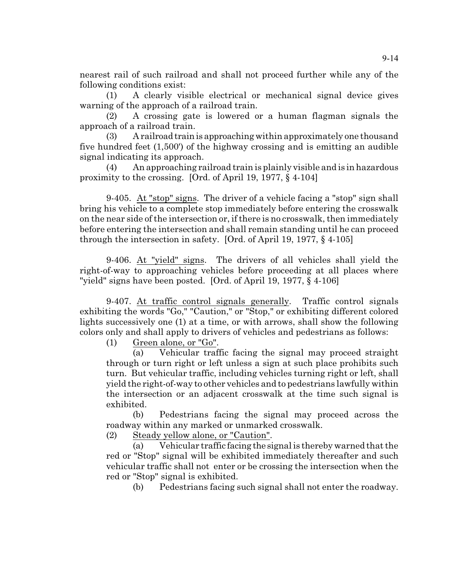nearest rail of such railroad and shall not proceed further while any of the following conditions exist:

(1) A clearly visible electrical or mechanical signal device gives warning of the approach of a railroad train.

(2) A crossing gate is lowered or a human flagman signals the approach of a railroad train.

(3) A railroad trainis approaching within approximately one thousand five hundred feet (1,500') of the highway crossing and is emitting an audible signal indicating its approach.

(4) An approaching railroad train is plainly visible and is in hazardous proximity to the crossing. [Ord. of April 19, 1977, § 4-104]

9-405. At "stop" signs. The driver of a vehicle facing a "stop" sign shall bring his vehicle to a complete stop immediately before entering the crosswalk on the near side of the intersection or, if there is no crosswalk, then immediately before entering the intersection and shall remain standing until he can proceed through the intersection in safety. [Ord. of April 19, 1977, § 4-105]

9-406. At "yield" signs. The drivers of all vehicles shall yield the right-of-way to approaching vehicles before proceeding at all places where "yield" signs have been posted. [Ord. of April 19, 1977, § 4-106]

9-407. At traffic control signals generally. Traffic control signals exhibiting the words "Go," "Caution," or "Stop," or exhibiting different colored lights successively one (1) at a time, or with arrows, shall show the following colors only and shall apply to drivers of vehicles and pedestrians as follows:

(1) Green alone, or "Go".

(a) Vehicular traffic facing the signal may proceed straight through or turn right or left unless a sign at such place prohibits such turn. But vehicular traffic, including vehicles turning right or left, shall yield the right-of-way to other vehicles and to pedestrians lawfully within the intersection or an adjacent crosswalk at the time such signal is exhibited.

(b) Pedestrians facing the signal may proceed across the roadway within any marked or unmarked crosswalk.

(2) Steady yellow alone, or "Caution".

(a) Vehicular traffic facing the signal is thereby warned that the red or "Stop" signal will be exhibited immediately thereafter and such vehicular traffic shall not enter or be crossing the intersection when the red or "Stop" signal is exhibited.

(b) Pedestrians facing such signal shall not enter the roadway.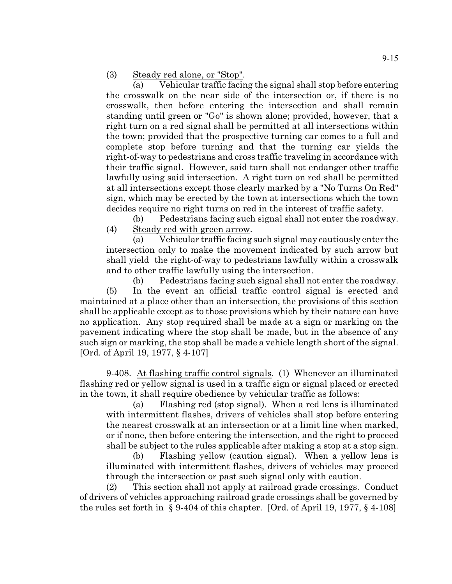(3) Steady red alone, or "Stop".

(a) Vehicular traffic facing the signal shall stop before entering the crosswalk on the near side of the intersection or, if there is no crosswalk, then before entering the intersection and shall remain standing until green or "Go" is shown alone; provided, however, that a right turn on a red signal shall be permitted at all intersections within the town; provided that the prospective turning car comes to a full and complete stop before turning and that the turning car yields the right-of-way to pedestrians and cross traffic traveling in accordance with their traffic signal. However, said turn shall not endanger other traffic lawfully using said intersection. A right turn on red shall be permitted at all intersections except those clearly marked by a "No Turns On Red" sign, which may be erected by the town at intersections which the town decides require no right turns on red in the interest of traffic safety.

(b) Pedestrians facing such signal shall not enter the roadway. (4) Steady red with green arrow.

(a) Vehicular traffic facing such signal may cautiously enter the intersection only to make the movement indicated by such arrow but shall yield the right-of-way to pedestrians lawfully within a crosswalk and to other traffic lawfully using the intersection.

(b) Pedestrians facing such signal shall not enter the roadway. (5) In the event an official traffic control signal is erected and maintained at a place other than an intersection, the provisions of this section shall be applicable except as to those provisions which by their nature can have no application. Any stop required shall be made at a sign or marking on the pavement indicating where the stop shall be made, but in the absence of any such sign or marking, the stop shall be made a vehicle length short of the signal. [Ord. of April 19, 1977, § 4-107]

9-408. At flashing traffic control signals. (1) Whenever an illuminated flashing red or yellow signal is used in a traffic sign or signal placed or erected in the town, it shall require obedience by vehicular traffic as follows:

(a) Flashing red (stop signal). When a red lens is illuminated with intermittent flashes, drivers of vehicles shall stop before entering the nearest crosswalk at an intersection or at a limit line when marked, or if none, then before entering the intersection, and the right to proceed shall be subject to the rules applicable after making a stop at a stop sign.

(b) Flashing yellow (caution signal). When a yellow lens is illuminated with intermittent flashes, drivers of vehicles may proceed through the intersection or past such signal only with caution.

(2) This section shall not apply at railroad grade crossings. Conduct of drivers of vehicles approaching railroad grade crossings shall be governed by the rules set forth in  $\S 9-404$  of this chapter. [Ord. of April 19, 1977,  $\S 4-108$ ]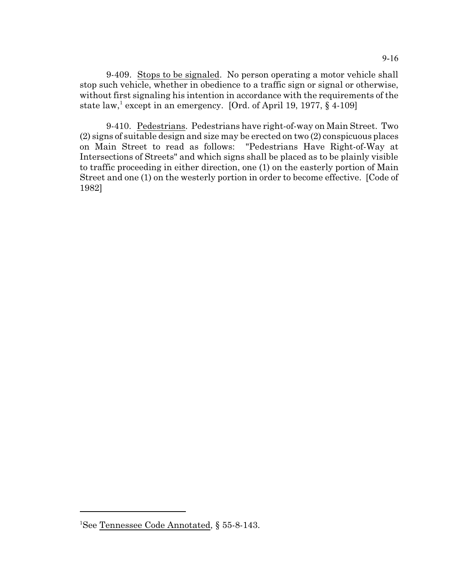9-409. Stops to be signaled. No person operating a motor vehicle shall stop such vehicle, whether in obedience to a traffic sign or signal or otherwise, without first signaling his intention in accordance with the requirements of the state law,<sup>1</sup> except in an emergency. [Ord. of April 19, 1977,  $\S$  4-109]

9-410. Pedestrians. Pedestrians have right-of-way on Main Street. Two (2) signs of suitable design and size may be erected on two (2) conspicuous places on Main Street to read as follows: "Pedestrians Have Right-of-Way at Intersections of Streets" and which signs shall be placed as to be plainly visible to traffic proceeding in either direction, one (1) on the easterly portion of Main Street and one (1) on the westerly portion in order to become effective. [Code of 1982]

<sup>&</sup>lt;sup>1</sup>See Tennessee Code Annotated, § 55-8-143.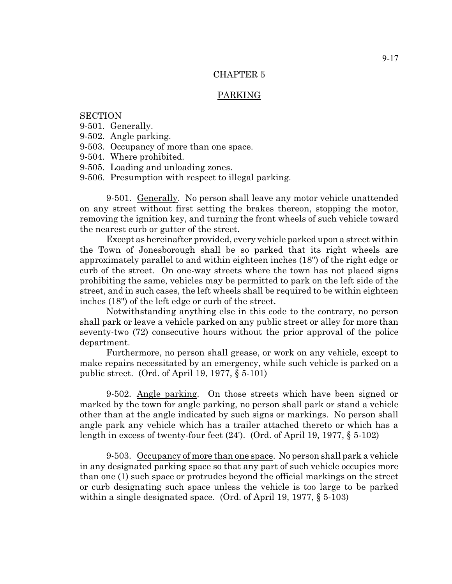### PARKING

## **SECTION**

- 9-501. Generally.
- 9-502. Angle parking.
- 9-503. Occupancy of more than one space.
- 9-504. Where prohibited.
- 9-505. Loading and unloading zones.
- 9-506. Presumption with respect to illegal parking.

9-501. Generally. No person shall leave any motor vehicle unattended on any street without first setting the brakes thereon, stopping the motor, removing the ignition key, and turning the front wheels of such vehicle toward the nearest curb or gutter of the street.

Except as hereinafter provided, every vehicle parked upon a street within the Town of Jonesborough shall be so parked that its right wheels are approximately parallel to and within eighteen inches (18") of the right edge or curb of the street. On one-way streets where the town has not placed signs prohibiting the same, vehicles may be permitted to park on the left side of the street, and in such cases, the left wheels shall be required to be within eighteen inches (18") of the left edge or curb of the street.

Notwithstanding anything else in this code to the contrary, no person shall park or leave a vehicle parked on any public street or alley for more than seventy-two (72) consecutive hours without the prior approval of the police department.

Furthermore, no person shall grease, or work on any vehicle, except to make repairs necessitated by an emergency, while such vehicle is parked on a public street. (Ord. of April 19, 1977, § 5-101)

9-502. Angle parking. On those streets which have been signed or marked by the town for angle parking, no person shall park or stand a vehicle other than at the angle indicated by such signs or markings. No person shall angle park any vehicle which has a trailer attached thereto or which has a length in excess of twenty-four feet  $(24')$ . (Ord. of April 19, 1977,  $\S 5-102$ )

9-503. Occupancy of more than one space. No person shall park a vehicle in any designated parking space so that any part of such vehicle occupies more than one (1) such space or protrudes beyond the official markings on the street or curb designating such space unless the vehicle is too large to be parked within a single designated space. (Ord. of April 19, 1977, § 5-103)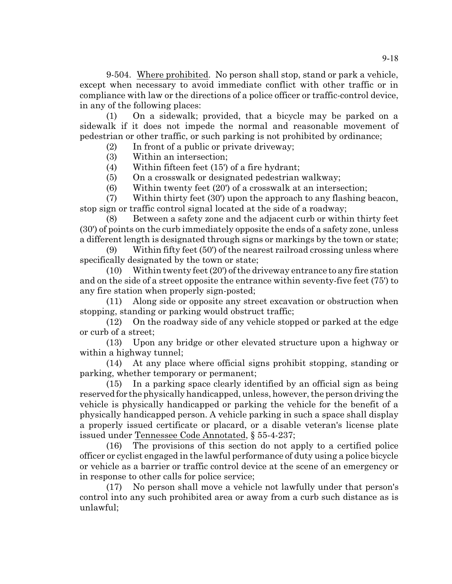9-504. Where prohibited. No person shall stop, stand or park a vehicle, except when necessary to avoid immediate conflict with other traffic or in compliance with law or the directions of a police officer or traffic-control device, in any of the following places:

(1) On a sidewalk; provided, that a bicycle may be parked on a sidewalk if it does not impede the normal and reasonable movement of pedestrian or other traffic, or such parking is not prohibited by ordinance;

(2) In front of a public or private driveway;

(3) Within an intersection;

(4) Within fifteen feet (15') of a fire hydrant;

(5) On a crosswalk or designated pedestrian walkway;

(6) Within twenty feet (20') of a crosswalk at an intersection;

(7) Within thirty feet (30') upon the approach to any flashing beacon, stop sign or traffic control signal located at the side of a roadway;

(8) Between a safety zone and the adjacent curb or within thirty feet (30') of points on the curb immediately opposite the ends of a safety zone, unless a different length is designated through signs or markings by the town or state;

(9) Within fifty feet (50') of the nearest railroad crossing unless where specifically designated by the town or state;

 $(10)$  Within twenty feet  $(20')$  of the driveway entrance to any fire station and on the side of a street opposite the entrance within seventy-five feet (75') to any fire station when properly sign-posted;

(11) Along side or opposite any street excavation or obstruction when stopping, standing or parking would obstruct traffic;

(12) On the roadway side of any vehicle stopped or parked at the edge or curb of a street;

(13) Upon any bridge or other elevated structure upon a highway or within a highway tunnel;

(14) At any place where official signs prohibit stopping, standing or parking, whether temporary or permanent;

(15) In a parking space clearly identified by an official sign as being reserved for the physically handicapped, unless, however, the person driving the vehicle is physically handicapped or parking the vehicle for the benefit of a physically handicapped person. A vehicle parking in such a space shall display a properly issued certificate or placard, or a disable veteran's license plate issued under Tennessee Code Annotated, § 55-4-237;

(16) The provisions of this section do not apply to a certified police officer or cyclist engaged in the lawful performance of duty using a police bicycle or vehicle as a barrier or traffic control device at the scene of an emergency or in response to other calls for police service;

(17) No person shall move a vehicle not lawfully under that person's control into any such prohibited area or away from a curb such distance as is unlawful;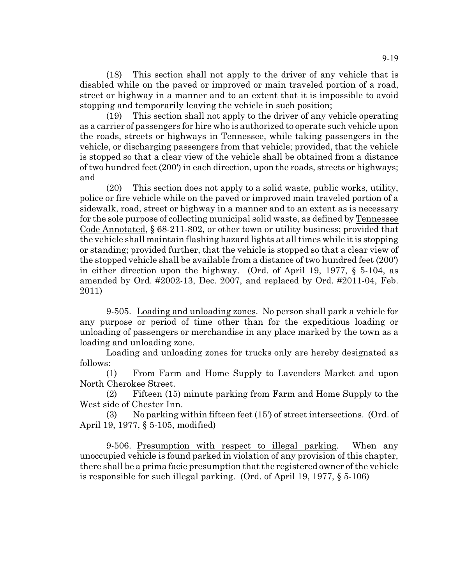(18) This section shall not apply to the driver of any vehicle that is disabled while on the paved or improved or main traveled portion of a road, street or highway in a manner and to an extent that it is impossible to avoid stopping and temporarily leaving the vehicle in such position;

(19) This section shall not apply to the driver of any vehicle operating as a carrier of passengers for hire who is authorized to operate such vehicle upon the roads, streets or highways in Tennessee, while taking passengers in the vehicle, or discharging passengers from that vehicle; provided, that the vehicle is stopped so that a clear view of the vehicle shall be obtained from a distance of two hundred feet (200') in each direction, upon the roads, streets or highways; and

(20) This section does not apply to a solid waste, public works, utility, police or fire vehicle while on the paved or improved main traveled portion of a sidewalk, road, street or highway in a manner and to an extent as is necessary for the sole purpose of collecting municipal solid waste, as defined by Tennessee Code Annotated, § 68-211-802, or other town or utility business; provided that the vehicle shall maintain flashing hazard lights at all times while it is stopping or standing; provided further, that the vehicle is stopped so that a clear view of the stopped vehicle shall be available from a distance of two hundred feet (200') in either direction upon the highway. (Ord. of April 19, 1977, § 5-104, as amended by Ord. #2002-13, Dec. 2007, and replaced by Ord. #2011-04, Feb. 2011)

9-505. Loading and unloading zones. No person shall park a vehicle for any purpose or period of time other than for the expeditious loading or unloading of passengers or merchandise in any place marked by the town as a loading and unloading zone.

Loading and unloading zones for trucks only are hereby designated as follows:

(1) From Farm and Home Supply to Lavenders Market and upon North Cherokee Street.

(2) Fifteen (15) minute parking from Farm and Home Supply to the West side of Chester Inn.

(3) No parking within fifteen feet (15') of street intersections. (Ord. of April 19, 1977, § 5-105, modified)

9-506. Presumption with respect to illegal parking. When any unoccupied vehicle is found parked in violation of any provision of this chapter, there shall be a prima facie presumption that the registered owner of the vehicle is responsible for such illegal parking. (Ord. of April 19, 1977, § 5-106)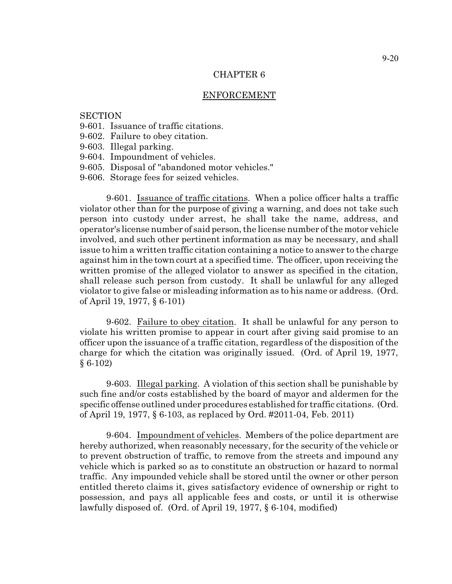### ENFORCEMENT

## **SECTION**

- 9-601. Issuance of traffic citations.
- 9-602. Failure to obey citation.
- 9-603. Illegal parking.
- 9-604. Impoundment of vehicles.
- 9-605. Disposal of "abandoned motor vehicles."
- 9-606. Storage fees for seized vehicles.

9-601. Issuance of traffic citations. When a police officer halts a traffic violator other than for the purpose of giving a warning, and does not take such person into custody under arrest, he shall take the name, address, and operator's license number of said person, the license number of the motor vehicle involved, and such other pertinent information as may be necessary, and shall issue to him a written traffic citation containing a notice to answer to the charge against him in the town court at a specified time. The officer, upon receiving the written promise of the alleged violator to answer as specified in the citation, shall release such person from custody. It shall be unlawful for any alleged violator to give false or misleading information as to his name or address. (Ord. of April 19, 1977, § 6-101)

9-602. Failure to obey citation. It shall be unlawful for any person to violate his written promise to appear in court after giving said promise to an officer upon the issuance of a traffic citation, regardless of the disposition of the charge for which the citation was originally issued. (Ord. of April 19, 1977, § 6-102)

9-603. Illegal parking. A violation of this section shall be punishable by such fine and/or costs established by the board of mayor and aldermen for the specific offense outlined under procedures established for traffic citations. (Ord. of April 19, 1977, § 6-103, as replaced by Ord. #2011-04, Feb. 2011)

9-604. Impoundment of vehicles. Members of the police department are hereby authorized, when reasonably necessary, for the security of the vehicle or to prevent obstruction of traffic, to remove from the streets and impound any vehicle which is parked so as to constitute an obstruction or hazard to normal traffic. Any impounded vehicle shall be stored until the owner or other person entitled thereto claims it, gives satisfactory evidence of ownership or right to possession, and pays all applicable fees and costs, or until it is otherwise lawfully disposed of. (Ord. of April 19, 1977, § 6-104, modified)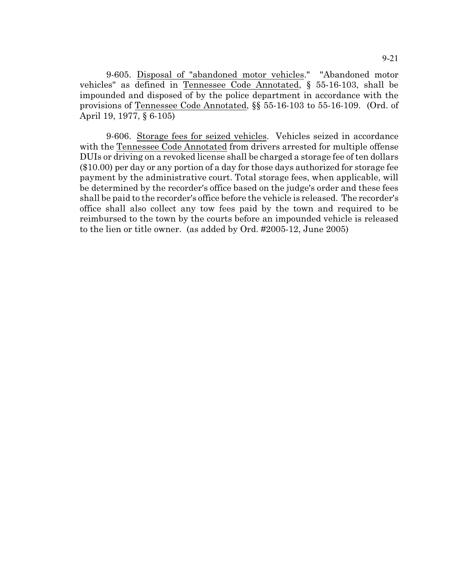9-605. Disposal of "abandoned motor vehicles." "Abandoned motor vehicles" as defined in Tennessee Code Annotated, § 55-16-103, shall be impounded and disposed of by the police department in accordance with the provisions of Tennessee Code Annotated, §§ 55-16-103 to 55-16-109. (Ord. of April 19, 1977, § 6-105)

9-606. Storage fees for seized vehicles. Vehicles seized in accordance with the Tennessee Code Annotated from drivers arrested for multiple offense DUIs or driving on a revoked license shall be charged a storage fee of ten dollars (\$10.00) per day or any portion of a day for those days authorized for storage fee payment by the administrative court. Total storage fees, when applicable, will be determined by the recorder's office based on the judge's order and these fees shall be paid to the recorder's office before the vehicle is released. The recorder's office shall also collect any tow fees paid by the town and required to be reimbursed to the town by the courts before an impounded vehicle is released to the lien or title owner. (as added by Ord. #2005-12, June 2005)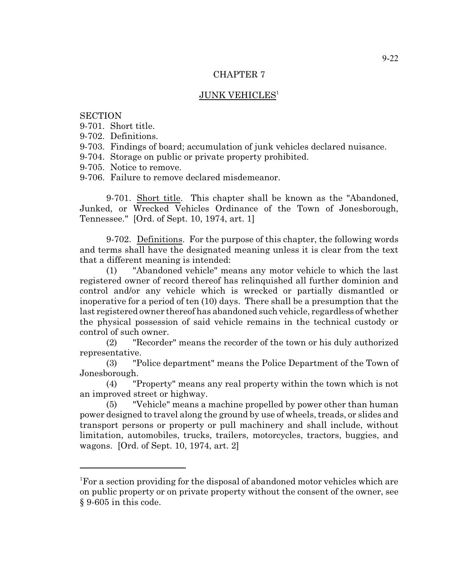## **JUNK VEHICLES<sup>1</sup>**

## **SECTION**

- 9-701. Short title.
- 9-702. Definitions.
- 9-703. Findings of board; accumulation of junk vehicles declared nuisance.
- 9-704. Storage on public or private property prohibited.
- 9-705. Notice to remove.
- 9-706. Failure to remove declared misdemeanor.

9-701. Short title. This chapter shall be known as the "Abandoned, Junked, or Wrecked Vehicles Ordinance of the Town of Jonesborough, Tennessee." [Ord. of Sept. 10, 1974, art. 1]

9-702. Definitions. For the purpose of this chapter, the following words and terms shall have the designated meaning unless it is clear from the text that a different meaning is intended:

(1) "Abandoned vehicle" means any motor vehicle to which the last registered owner of record thereof has relinquished all further dominion and control and/or any vehicle which is wrecked or partially dismantled or inoperative for a period of ten (10) days. There shall be a presumption that the last registered owner thereof has abandoned such vehicle, regardless of whether the physical possession of said vehicle remains in the technical custody or control of such owner.

(2) "Recorder" means the recorder of the town or his duly authorized representative.

(3) "Police department" means the Police Department of the Town of Jonesborough.

(4) "Property" means any real property within the town which is not an improved street or highway.

(5) "Vehicle" means a machine propelled by power other than human power designed to travel along the ground by use of wheels, treads, or slides and transport persons or property or pull machinery and shall include, without limitation, automobiles, trucks, trailers, motorcycles, tractors, buggies, and wagons. [Ord. of Sept. 10, 1974, art. 2]

<sup>&</sup>lt;sup>1</sup>For a section providing for the disposal of abandoned motor vehicles which are on public property or on private property without the consent of the owner, see § 9-605 in this code.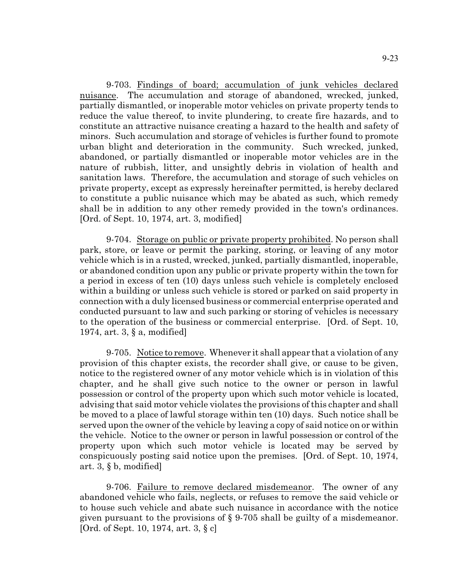9-703. Findings of board; accumulation of junk vehicles declared nuisance. The accumulation and storage of abandoned, wrecked, junked, partially dismantled, or inoperable motor vehicles on private property tends to reduce the value thereof, to invite plundering, to create fire hazards, and to constitute an attractive nuisance creating a hazard to the health and safety of minors. Such accumulation and storage of vehicles is further found to promote urban blight and deterioration in the community. Such wrecked, junked, abandoned, or partially dismantled or inoperable motor vehicles are in the nature of rubbish, litter, and unsightly debris in violation of health and sanitation laws. Therefore, the accumulation and storage of such vehicles on private property, except as expressly hereinafter permitted, is hereby declared to constitute a public nuisance which may be abated as such, which remedy shall be in addition to any other remedy provided in the town's ordinances. [Ord. of Sept. 10, 1974, art. 3, modified]

9-704. Storage on public or private property prohibited. No person shall park, store, or leave or permit the parking, storing, or leaving of any motor vehicle which is in a rusted, wrecked, junked, partially dismantled, inoperable, or abandoned condition upon any public or private property within the town for a period in excess of ten (10) days unless such vehicle is completely enclosed within a building or unless such vehicle is stored or parked on said property in connection with a duly licensed business or commercial enterprise operated and conducted pursuant to law and such parking or storing of vehicles is necessary to the operation of the business or commercial enterprise. [Ord. of Sept. 10, 1974, art. 3, § a, modified]

9-705. Notice to remove. Whenever it shall appear that a violation of any provision of this chapter exists, the recorder shall give, or cause to be given, notice to the registered owner of any motor vehicle which is in violation of this chapter, and he shall give such notice to the owner or person in lawful possession or control of the property upon which such motor vehicle is located, advising that said motor vehicle violates the provisions of this chapter and shall be moved to a place of lawful storage within ten (10) days. Such notice shall be served upon the owner of the vehicle by leaving a copy of said notice on or within the vehicle. Notice to the owner or person in lawful possession or control of the property upon which such motor vehicle is located may be served by conspicuously posting said notice upon the premises. [Ord. of Sept. 10, 1974, art. 3, § b, modified]

9-706. Failure to remove declared misdemeanor. The owner of any abandoned vehicle who fails, neglects, or refuses to remove the said vehicle or to house such vehicle and abate such nuisance in accordance with the notice given pursuant to the provisions of § 9-705 shall be guilty of a misdemeanor. [Ord. of Sept. 10, 1974, art. 3, § c]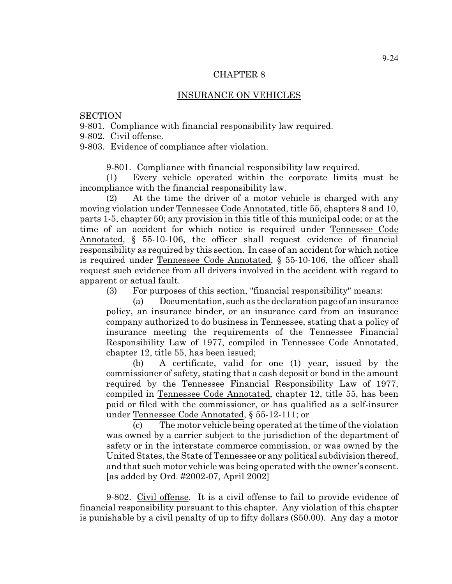#### INSURANCE ON VEHICLES

#### **SECTION**

9-801. Compliance with financial responsibility law required.

9-802. Civil offense.

9-803. Evidence of compliance after violation.

9-801. Compliance with financial responsibility law required.

(1) Every vehicle operated within the corporate limits must be incompliance with the financial responsibility law.

(2) At the time the driver of a motor vehicle is charged with any moving violation under Tennessee Code Annotated, title 55, chapters 8 and 10, parts 1-5, chapter 50; any provision in this title of this municipal code; or at the time of an accident for which notice is required under Tennessee Code Annotated, § 55-10-106, the officer shall request evidence of financial responsibility as required by this section. In case of an accident for which notice is required under Tennessee Code Annotated, § 55-10-106, the officer shall request such evidence from all drivers involved in the accident with regard to apparent or actual fault.

(3) For purposes of this section, "financial responsibility" means:

 $(a)$  Documentation, such as the declaration page of an insurance policy, an insurance binder, or an insurance card from an insurance company authorized to do business in Tennessee, stating that a policy of insurance meeting the requirements of the Tennessee Financial Responsibility Law of 1977, compiled in Tennessee Code Annotated, chapter 12, title 55, has been issued;

(b) A certificate, valid for one (1) year, issued by the commissioner of safety, stating that a cash deposit or bond in the amount required by the Tennessee Financial Responsibility Law of 1977, compiled in Tennessee Code Annotated, chapter 12, title 55, has been paid or filed with the commissioner, or has qualified as a self-insurer under Tennessee Code Annotated, § 55-12-111; or

(c) The motor vehicle being operated at the time of the violation was owned by a carrier subject to the jurisdiction of the department of safety or in the interstate commerce commission, or was owned by the United States, the State of Tennessee or any political subdivision thereof, and that such motor vehicle was being operated with the owner's consent. [as added by Ord. #2002-07, April 2002]

9-802. Civil offense. It is a civil offense to fail to provide evidence of financial responsibility pursuant to this chapter. Any violation of this chapter is punishable by a civil penalty of up to fifty dollars (\$50.00). Any day a motor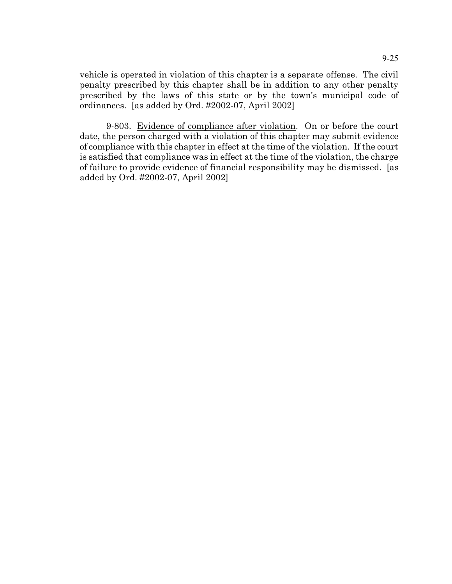vehicle is operated in violation of this chapter is a separate offense. The civil penalty prescribed by this chapter shall be in addition to any other penalty prescribed by the laws of this state or by the town's municipal code of ordinances. [as added by Ord. #2002-07, April 2002]

9-803. Evidence of compliance after violation. On or before the court date, the person charged with a violation of this chapter may submit evidence of compliance with this chapter in effect at the time of the violation. If the court is satisfied that compliance was in effect at the time of the violation, the charge of failure to provide evidence of financial responsibility may be dismissed. [as added by Ord. #2002-07, April 2002]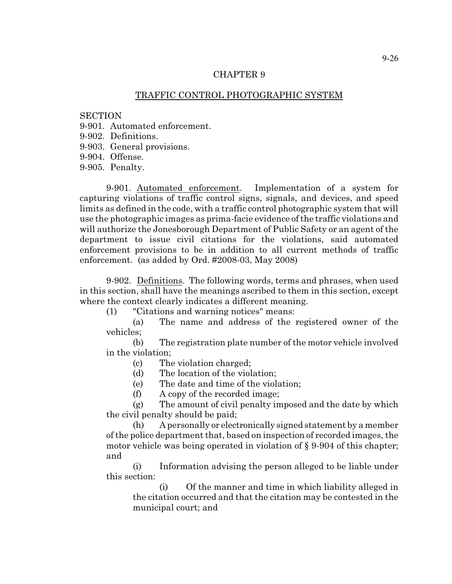# TRAFFIC CONTROL PHOTOGRAPHIC SYSTEM

#### **SECTION**

9-901. Automated enforcement.

- 9-902. Definitions.
- 9-903. General provisions.

9-904. Offense.

9-905. Penalty.

9-901. Automated enforcement. Implementation of a system for capturing violations of traffic control signs, signals, and devices, and speed limits as defined in the code, with a traffic control photographic system that will use the photographic images as prima-facie evidence of the traffic violations and will authorize the Jonesborough Department of Public Safety or an agent of the department to issue civil citations for the violations, said automated enforcement provisions to be in addition to all current methods of traffic enforcement. (as added by Ord. #2008-03, May 2008)

9-902. Definitions. The following words, terms and phrases, when used in this section, shall have the meanings ascribed to them in this section, except where the context clearly indicates a different meaning.

(1) "Citations and warning notices" means:

(a) The name and address of the registered owner of the vehicles;

(b) The registration plate number of the motor vehicle involved in the violation;

(c) The violation charged;

(d) The location of the violation;

(e) The date and time of the violation;

(f) A copy of the recorded image;

(g) The amount of civil penalty imposed and the date by which the civil penalty should be paid;

(h) A personally or electronically signed statement by a member of the police department that, based on inspection of recorded images, the motor vehicle was being operated in violation of § 9-904 of this chapter; and

(i) Information advising the person alleged to be liable under this section:

(i) Of the manner and time in which liability alleged in the citation occurred and that the citation may be contested in the municipal court; and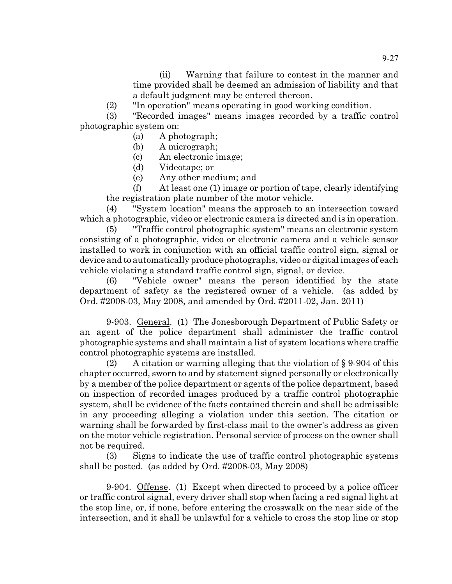(ii) Warning that failure to contest in the manner and time provided shall be deemed an admission of liability and that a default judgment may be entered thereon.

(2) "In operation" means operating in good working condition.

(3) "Recorded images" means images recorded by a traffic control photographic system on:

(a) A photograph;

- (b) A micrograph;
- (c) An electronic image;
- (d) Videotape; or
- (e) Any other medium; and

(f) At least one (1) image or portion of tape, clearly identifying the registration plate number of the motor vehicle.

(4) "System location" means the approach to an intersection toward which a photographic, video or electronic camera is directed and is in operation.

(5) "Traffic control photographic system" means an electronic system consisting of a photographic, video or electronic camera and a vehicle sensor installed to work in conjunction with an official traffic control sign, signal or device and to automatically produce photographs, video or digital images of each vehicle violating a standard traffic control sign, signal, or device.

(6) "Vehicle owner" means the person identified by the state department of safety as the registered owner of a vehicle. (as added by Ord. #2008-03, May 2008, and amended by Ord. #2011-02, Jan. 2011)

9-903. General. (1) The Jonesborough Department of Public Safety or an agent of the police department shall administer the traffic control photographic systems and shall maintain a list of system locations where traffic control photographic systems are installed.

(2) A citation or warning alleging that the violation of  $\S 9-904$  of this chapter occurred, sworn to and by statement signed personally or electronically by a member of the police department or agents of the police department, based on inspection of recorded images produced by a traffic control photographic system, shall be evidence of the facts contained therein and shall be admissible in any proceeding alleging a violation under this section. The citation or warning shall be forwarded by first-class mail to the owner's address as given on the motor vehicle registration. Personal service of process on the owner shall not be required.

(3) Signs to indicate the use of traffic control photographic systems shall be posted. (as added by Ord. #2008-03, May 2008)

9-904. Offense. (1) Except when directed to proceed by a police officer or traffic control signal, every driver shall stop when facing a red signal light at the stop line, or, if none, before entering the crosswalk on the near side of the intersection, and it shall be unlawful for a vehicle to cross the stop line or stop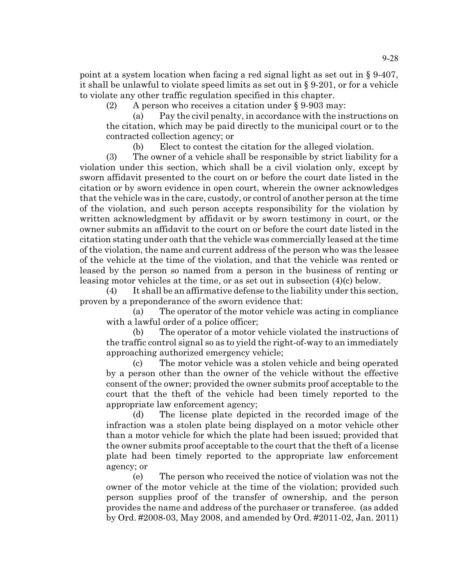point at a system location when facing a red signal light as set out in § 9-407, it shall be unlawful to violate speed limits as set out in § 9-201, or for a vehicle to violate any other traffic regulation specified in this chapter.

(2) A person who receives a citation under § 9-903 may:

(a) Pay the civil penalty, in accordance with the instructions on the citation, which may be paid directly to the municipal court or to the contracted collection agency; or

(b) Elect to contest the citation for the alleged violation.

(3) The owner of a vehicle shall be responsible by strict liability for a violation under this section, which shall be a civil violation only, except by sworn affidavit presented to the court on or before the court date listed in the citation or by sworn evidence in open court, wherein the owner acknowledges that the vehicle was in the care, custody, or control of another person at the time of the violation, and such person accepts responsibility for the violation by written acknowledgment by affidavit or by sworn testimony in court, or the owner submits an affidavit to the court on or before the court date listed in the citation stating under oath that the vehicle was commercially leased at the time of the violation, the name and current address of the person who was the lessee of the vehicle at the time of the violation, and that the vehicle was rented or leased by the person so named from a person in the business of renting or leasing motor vehicles at the time, or as set out in subsection (4)(c) below.

(4) It shall be an affirmative defense to the liability under this section, proven by a preponderance of the sworn evidence that:

(a) The operator of the motor vehicle was acting in compliance with a lawful order of a police officer;

(b) The operator of a motor vehicle violated the instructions of the traffic control signal so as to yield the right-of-way to an immediately approaching authorized emergency vehicle;

(c) The motor vehicle was a stolen vehicle and being operated by a person other than the owner of the vehicle without the effective consent of the owner; provided the owner submits proof acceptable to the court that the theft of the vehicle had been timely reported to the appropriate law enforcement agency;

(d) The license plate depicted in the recorded image of the infraction was a stolen plate being displayed on a motor vehicle other than a motor vehicle for which the plate had been issued; provided that the owner submits proof acceptable to the court that the theft of a license plate had been timely reported to the appropriate law enforcement agency; or

(e) The person who received the notice of violation was not the owner of the motor vehicle at the time of the violation; provided such person supplies proof of the transfer of ownership, and the person provides the name and address of the purchaser or transferee. (as added by Ord. #2008-03, May 2008, and amended by Ord. #2011-02, Jan. 2011)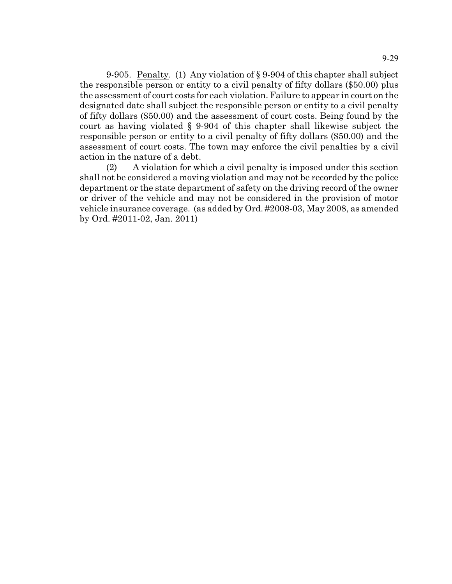9-905. Penalty. (1) Any violation of § 9-904 of this chapter shall subject the responsible person or entity to a civil penalty of fifty dollars (\$50.00) plus the assessment of court costs for each violation. Failure to appear in court on the designated date shall subject the responsible person or entity to a civil penalty of fifty dollars (\$50.00) and the assessment of court costs. Being found by the court as having violated § 9-904 of this chapter shall likewise subject the responsible person or entity to a civil penalty of fifty dollars (\$50.00) and the assessment of court costs. The town may enforce the civil penalties by a civil action in the nature of a debt.

(2) A violation for which a civil penalty is imposed under this section shall not be considered a moving violation and may not be recorded by the police department or the state department of safety on the driving record of the owner or driver of the vehicle and may not be considered in the provision of motor vehicle insurance coverage. (as added by Ord. #2008-03, May 2008, as amended by Ord. #2011-02, Jan. 2011)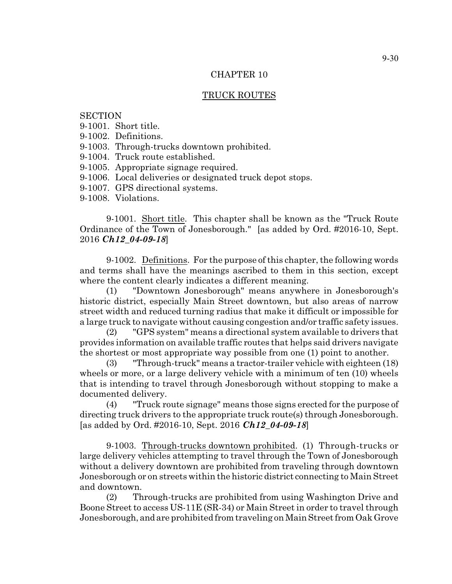## TRUCK ROUTES

## **SECTION**

- 9-1001. Short title.
- 9-1002. Definitions.
- 9-1003. Through-trucks downtown prohibited.
- 9-1004. Truck route established.
- 9-1005. Appropriate signage required.
- 9-1006. Local deliveries or designated truck depot stops.
- 9-1007. GPS directional systems.
- 9-1008. Violations.

9-1001. Short title. This chapter shall be known as the "Truck Route Ordinance of the Town of Jonesborough." [as added by Ord. #2016-10, Sept. 2016 *Ch12\_04-09-18*]

9-1002. Definitions. For the purpose of this chapter, the following words and terms shall have the meanings ascribed to them in this section, except where the content clearly indicates a different meaning.

(1) "Downtown Jonesborough" means anywhere in Jonesborough's historic district, especially Main Street downtown, but also areas of narrow street width and reduced turning radius that make it difficult or impossible for a large truck to navigate without causing congestion and/or traffic safety issues.

(2) "GPS system" means a directional system available to drivers that provides information on available traffic routes that helps said drivers navigate the shortest or most appropriate way possible from one (1) point to another.

(3) "Through-truck" means a tractor-trailer vehicle with eighteen (18) wheels or more, or a large delivery vehicle with a minimum of ten (10) wheels that is intending to travel through Jonesborough without stopping to make a documented delivery.

(4) "Truck route signage" means those signs erected for the purpose of directing truck drivers to the appropriate truck route(s) through Jonesborough. [as added by Ord. #2016-10, Sept. 2016 *Ch12\_04-09-18*]

9-1003. Through-trucks downtown prohibited. (1) Through-trucks or large delivery vehicles attempting to travel through the Town of Jonesborough without a delivery downtown are prohibited from traveling through downtown Jonesborough or on streets within the historic district connecting to Main Street and downtown.

(2) Through-trucks are prohibited from using Washington Drive and Boone Street to access US-11E (SR-34) or Main Street in order to travel through Jonesborough, and are prohibited from traveling on MainStreet from Oak Grove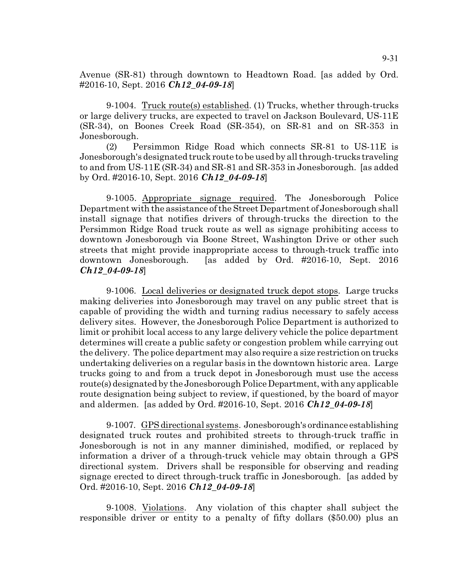Avenue (SR-81) through downtown to Headtown Road. [as added by Ord. #2016-10, Sept. 2016 *Ch12\_04-09-18*]

9-1004. Truck route(s) established. (1) Trucks, whether through-trucks or large delivery trucks, are expected to travel on Jackson Boulevard, US-11E (SR-34), on Boones Creek Road (SR-354), on SR-81 and on SR-353 in Jonesborough.

(2) Persimmon Ridge Road which connects SR-81 to US-11E is Jonesborough's designated truck route to be used by all through-trucks traveling to and from US-11E (SR-34) and SR-81 and SR-353 in Jonesborough. [as added by Ord. #2016-10, Sept. 2016 *Ch12\_04-09-18*]

9-1005. Appropriate signage required. The Jonesborough Police Department with the assistance of the Street Department of Jonesborough shall install signage that notifies drivers of through-trucks the direction to the Persimmon Ridge Road truck route as well as signage prohibiting access to downtown Jonesborough via Boone Street, Washington Drive or other such streets that might provide inappropriate access to through-truck traffic into downtown Jonesborough. [as added by Ord. #2016-10, Sept. 2016 *Ch12\_04-09-18*]

9-1006. Local deliveries or designated truck depot stops. Large trucks making deliveries into Jonesborough may travel on any public street that is capable of providing the width and turning radius necessary to safely access delivery sites. However, the Jonesborough Police Department is authorized to limit or prohibit local access to any large delivery vehicle the police department determines will create a public safety or congestion problem while carrying out the delivery. The police department may also require a size restriction on trucks undertaking deliveries on a regular basis in the downtown historic area. Large trucks going to and from a truck depot in Jonesborough must use the access route(s) designated by the Jonesborough Police Department, with any applicable route designation being subject to review, if questioned, by the board of mayor and aldermen. [as added by Ord. #2016-10, Sept. 2016 *Ch12\_04-09-18*]

9-1007. GPSdirectional systems. Jonesborough's ordinance establishing designated truck routes and prohibited streets to through-truck traffic in Jonesborough is not in any manner diminished, modified, or replaced by information a driver of a through-truck vehicle may obtain through a GPS directional system. Drivers shall be responsible for observing and reading signage erected to direct through-truck traffic in Jonesborough. [as added by Ord. #2016-10, Sept. 2016 *Ch12\_04-09-18*]

9-1008. Violations. Any violation of this chapter shall subject the responsible driver or entity to a penalty of fifty dollars (\$50.00) plus an